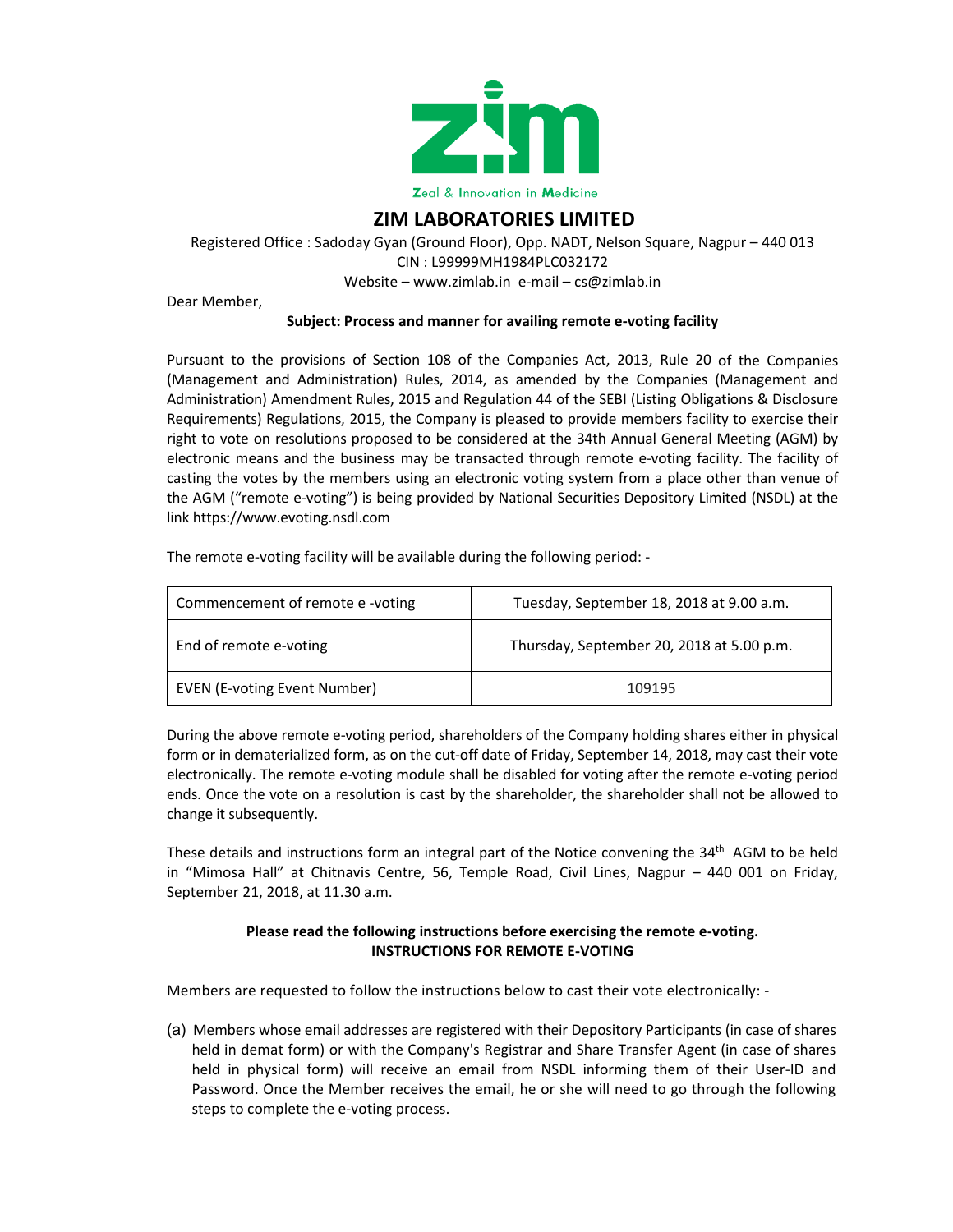

## **ZIM LABORATORIES LIMITED**

Registered Office : Sadoday Gyan (Ground Floor), Opp. NADT, Nelson Square, Nagpur – 440 013 CIN : L99999MH1984PLC032172 Website – www.zimlab.in e-mail – cs@zimlab.in

Dear Member,

## **Subject: Process and manner for availing remote e‐voting facility**

Pursuant to the provisions of Section 108 of the Companies Act, 2013, Rule 20 of the Companies (Management and Administration) Rules, 2014, as amended by the Companies (Management and Administration) Amendment Rules, 2015 and Regulation 44 of the SEBI (Listing Obligations & Disclosure Requirements) Regulations, 2015, the Company is pleased to provide members facility to exercise their right to vote on resolutions proposed to be considered at the 34th Annual General Meeting (AGM) by electronic means and the business may be transacted through remote e‐voting facility. The facility of casting the votes by the members using an electronic voting system from a place other than venue of the AGM ("remote e‐voting") is being provided by National Securities Depository Limited (NSDL) at the link https://www.evoting.nsdl.com

The remote e-voting facility will be available during the following period: -

| Commencement of remote e -voting    | Tuesday, September 18, 2018 at 9.00 a.m.  |
|-------------------------------------|-------------------------------------------|
| End of remote e-voting              | Thursday, September 20, 2018 at 5.00 p.m. |
| <b>EVEN (E-voting Event Number)</b> | 109195                                    |

During the above remote e‐voting period, shareholders of the Company holding shares either in physical form or in dematerialized form, as on the cut-off date of Friday, September 14, 2018, may cast their vote electronically. The remote e‐voting module shall be disabled for voting after the remote e‐voting period ends. Once the vote on a resolution is cast by the shareholder, the shareholder shall not be allowed to change it subsequently.

These details and instructions form an integral part of the Notice convening the 34<sup>th</sup> AGM to be held in "Mimosa Hall" at Chitnavis Centre, 56, Temple Road, Civil Lines, Nagpur – 440 001 on Friday, September 21, 2018, at 11.30 a.m.

## **Please read the following instructions before exercising the remote e‐voting. INSTRUCTIONS FOR REMOTE E‐VOTING**

Members are requested to follow the instructions below to cast their vote electronically: -

(a) Members whose email addresses are registered with their Depository Participants (in case of shares held in demat form) or with the Company's Registrar and Share Transfer Agent (in case of shares held in physical form) will receive an email from NSDL informing them of their User-ID and Password. Once the Member receives the email, he or she will need to go through the following steps to complete the e‐voting process.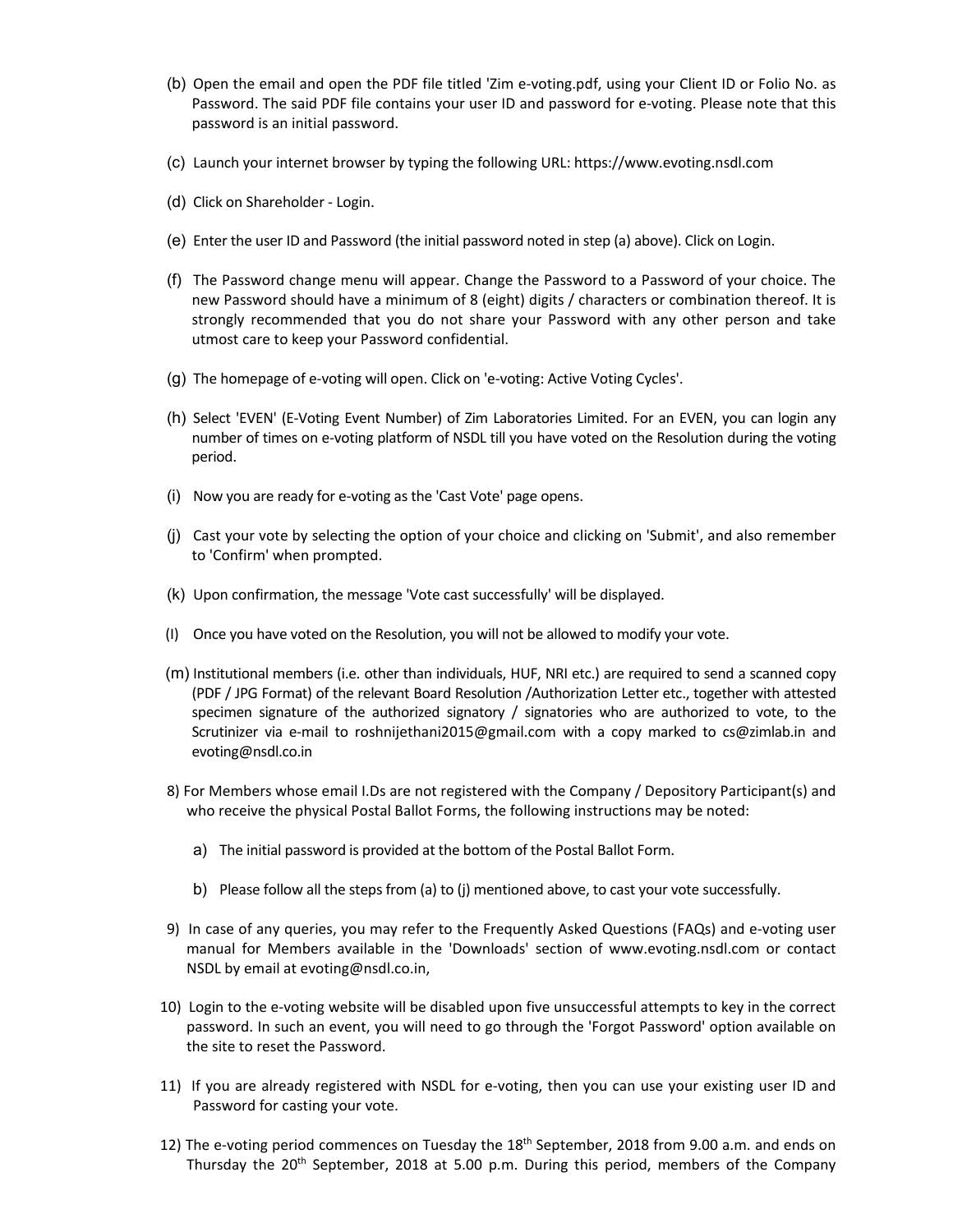- (b) Open the email and open the PDF file titled 'Zim e‐voting.pdf, using your Client ID or Folio No. as Password. The said PDF file contains your user ID and password for e-voting. Please note that this password is an initial password.
- (c) Launch your internet browser by typing the following URL: https://www.evoting.nsdl.com
- (d) Click on Shareholder ‐ Login.
- (e) Enter the user ID and Password (the initial password noted in step (a) above). Click on Login.
- (f) The Password change menu will appear. Change the Password to a Password of your choice. The new Password should have a minimum of 8 (eight) digits / characters or combination thereof. It is strongly recommended that you do not share your Password with any other person and take utmost care to keep your Password confidential.
- (g) The homepage of e‐voting will open. Click on 'e‐voting: Active Voting Cycles'.
- (h) Select 'EVEN' (E‐Voting Event Number) of Zim Laboratories Limited. For an EVEN, you can login any number of times on e‐voting platform of NSDL till you have voted on the Resolution during the voting period.
- (i) Now you are ready for e‐voting as the 'Cast Vote' page opens.
- (j) Cast your vote by selecting the option of your choice and clicking on 'Submit', and also remember to 'Confirm' when prompted.
- (k) Upon confirmation, the message 'Vote cast successfully' will be displayed.
- (I) Once you have voted on the Resolution, you will not be allowed to modify your vote.
- (m) Institutional members (i.e. other than individuals, HUF, NRI etc.) are required to send a scanned copy (PDF / JPG Format) of the relevant Board Resolution /Authorization Letter etc., together with attested specimen signature of the authorized signatory / signatories who are authorized to vote, to the Scrutinizer via e‐mail to roshnijethani2015@gmail.com with a copy marked to cs@zimlab.in and evoting@nsdl.co.in
- 8) For Members whose email I.Ds are not registered with the Company / Depository Participant(s) and who receive the physical Postal Ballot Forms, the following instructions may be noted:
	- a) The initial password is provided at the bottom of the Postal Ballot Form.
	- b) Please follow all the steps from (a) to (j) mentioned above, to cast your vote successfully.
- 9) In case of any queries, you may refer to the Frequently Asked Questions (FAQs) and e-voting user manual for Members available in the 'Downloads' section of www.evoting.nsdl.com or contact NSDL by email at evoting@nsdl.co.in,
- 10) Login to the e-voting website will be disabled upon five unsuccessful attempts to key in the correct password. In such an event, you will need to go through the 'Forgot Password' option available on the site to reset the Password.
- 11) If you are already registered with NSDL for e‐voting, then you can use your existing user ID and Password for casting your vote.
- 12) The e-voting period commences on Tuesday the 18<sup>th</sup> September, 2018 from 9.00 a.m. and ends on Thursday the  $20<sup>th</sup>$  September, 2018 at 5.00 p.m. During this period, members of the Company